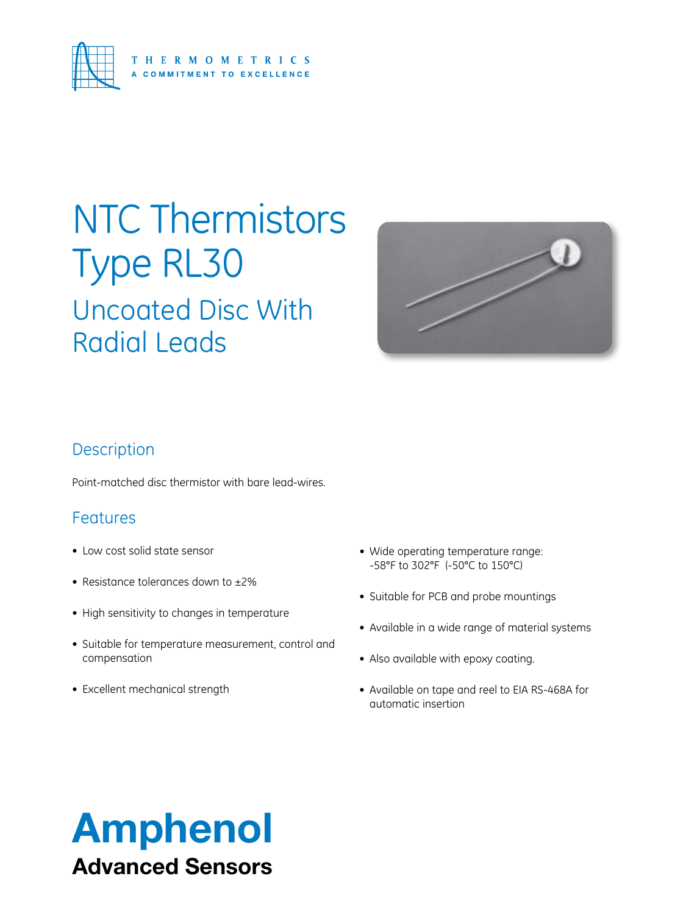

## Uncoated Disc With Radial Leads NTC Thermistors Type RL30



### **Description**

Point-matched disc thermistor with bare lead-wires.

### Features

- Low cost solid state sensor
- Resistance tolerances down to ±2%
- High sensitivity to changes in temperature
- Suitable for temperature measurement, control and compensation
- Excellent mechanical strength
- Wide operating temperature range: -58°F to 302°F (-50°C to 150°C)
- Suitable for PCB and probe mountings
- • Available in a wide range of material systems
- Also available with epoxy coating.
- Available on tape and reel to EIA RS-468A for automatic insertion

## Amphenol Advanced Sensors